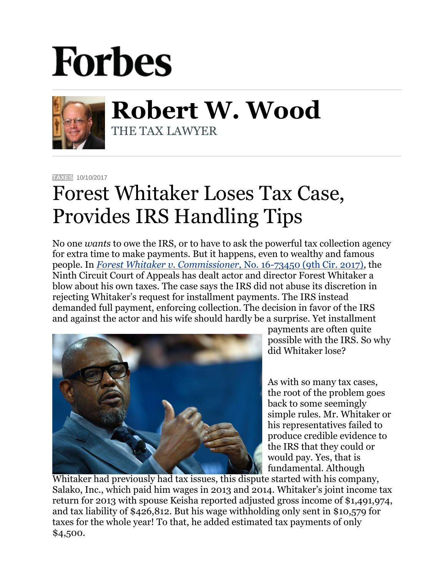## **Forbes**



**Robert W. Wood** THE TAX LAWYER

**[TAXES](https://www.forbes.com/taxes)** 10/10/2017

## Forest Whitaker Loses Tax Case, Provides IRS Handling Tips

No one *wants* to owe the IRS, or to have to ask the powerful tax collection agency for extra time to make payments. But it happens, even to wealthy and famous people. In *[Forest Whitaker v. Commissioner,](http://law.justia.com/cases/federal/appellate-courts/ca9/16-73450/16-73450-2017-10-04.html)* No. 16-73450 (9th Cir. 2017), the Ninth Circuit Court of Appeals has dealt actor and director Forest Whitaker a blow about his own taxes. The case says the IRS did not abuse its discretion in rejecting Whitaker's request for installment payments. The IRS instead demanded full payment, enforcing collection. The decision in favor of the IRS and against the actor and his wife should hardly be a surprise. Yet installment



payments are often quite possible with the IRS. So why did Whitaker lose?

As with so many tax cases, the root of the problem goes back to some seemingly simple rules. Mr. Whitaker or his representatives failed to produce credible evidence to the IRS that they could or would pay. Yes, that is fundamental. Although

Whitaker had previously had tax issues, this dispute started with his company, Salako, Inc., which paid him wages in 2013 and 2014. Whitaker's joint income tax return for 2013 with spouse Keisha reported adjusted gross income of \$1,491,974, and tax liability of \$426,812. But his wage withholding only sent in \$10,579 for taxes for the whole year! To that, he added estimated tax payments of only \$4,500.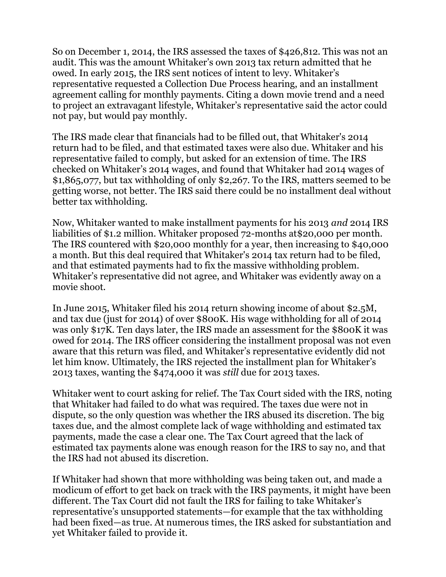So on December 1, 2014, the IRS assessed the taxes of \$426,812. This was not an audit. This was the amount Whitaker's own 2013 tax return admitted that he owed. In early 2015, the IRS sent notices of intent to levy. Whitaker's representative requested a Collection Due Process hearing, and an installment agreement calling for monthly payments. Citing a down movie trend and a need to project an extravagant lifestyle, Whitaker's representative said the actor could not pay, but would pay monthly.

The IRS made clear that financials had to be filled out, that Whitaker's 2014 return had to be filed, and that estimated taxes were also due. Whitaker and his representative failed to comply, but asked for an extension of time. The IRS checked on Whitaker's 2014 wages, and found that Whitaker had 2014 wages of \$1,865,077, but tax withholding of only \$2,267. To the IRS, matters seemed to be getting worse, not better. The IRS said there could be no installment deal without better tax withholding.

Now, Whitaker wanted to make installment payments for his 2013 *and* 2014 IRS liabilities of \$1.2 million. Whitaker proposed 72-months at\$20,000 per month. The IRS countered with \$20,000 monthly for a year, then increasing to \$40,000 a month. But this deal required that Whitaker's 2014 tax return had to be filed, and that estimated payments had to fix the massive withholding problem. Whitaker's representative did not agree, and Whitaker was evidently away on a movie shoot.

In June 2015, Whitaker filed his 2014 return showing income of about \$2.5M, and tax due (just for 2014) of over \$800K. His wage withholding for all of 2014 was only \$17K. Ten days later, the IRS made an assessment for the \$800K it was owed for 2014. The IRS officer considering the installment proposal was not even aware that this return was filed, and Whitaker's representative evidently did not let him know. Ultimately, the IRS rejected the installment plan for Whitaker's 2013 taxes, wanting the \$474,000 it was *still* due for 2013 taxes.

Whitaker went to court asking for relief. The Tax Court sided with the IRS, noting that Whitaker had failed to do what was required. The taxes due were not in dispute, so the only question was whether the IRS abused its discretion. The big taxes due, and the almost complete lack of wage withholding and estimated tax payments, made the case a clear one. The Tax Court agreed that the lack of estimated tax payments alone was enough reason for the IRS to say no, and that the IRS had not abused its discretion.

If Whitaker had shown that more withholding was being taken out, and made a modicum of effort to get back on track with the IRS payments, it might have been different. The Tax Court did not fault the IRS for failing to take Whitaker's representative's unsupported statements—for example that the tax withholding had been fixed—as true. At numerous times, the IRS asked for substantiation and yet Whitaker failed to provide it.